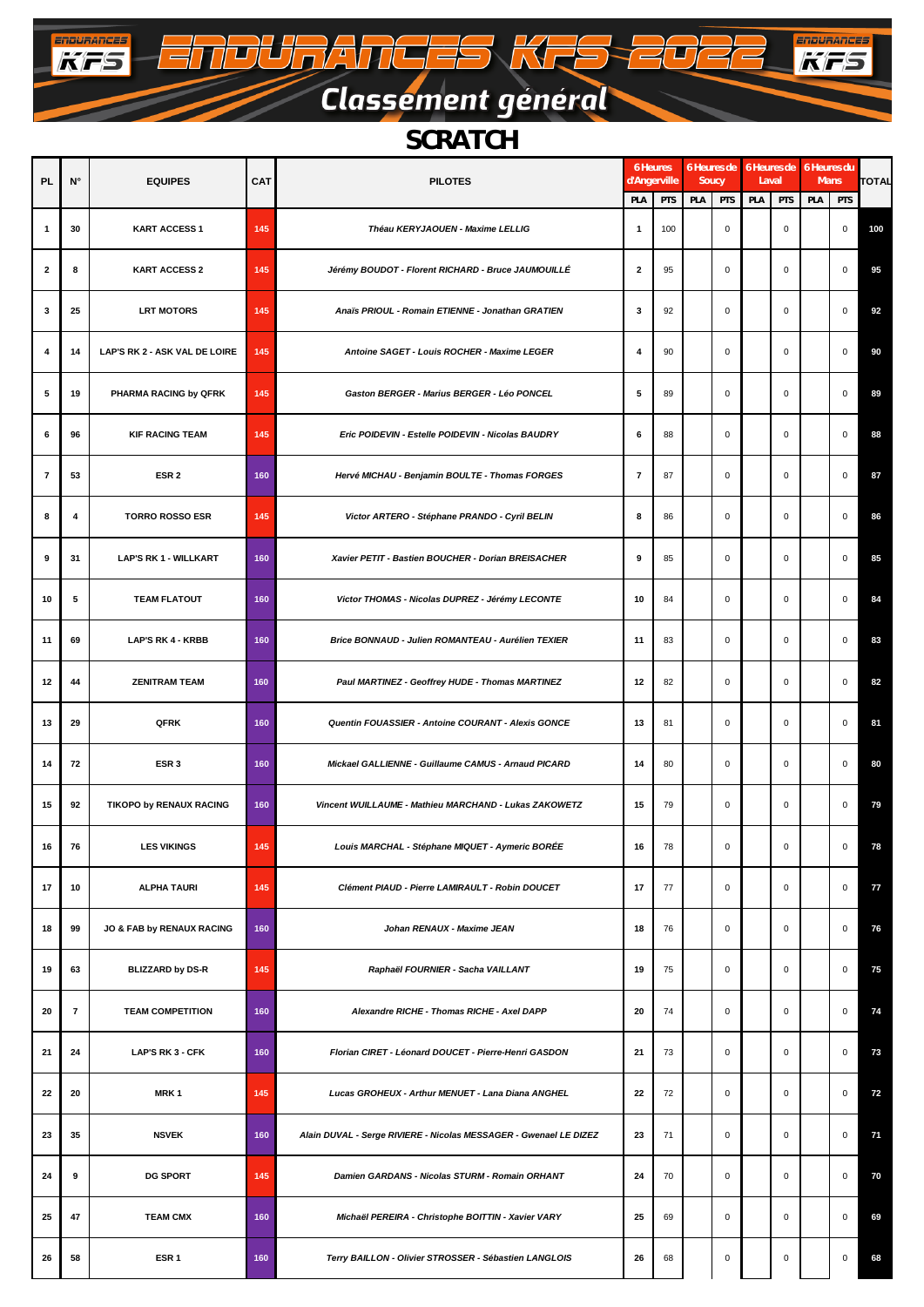## Classement général

 $\sqrt{}$ 

 $\mathbb{Z}$ 

 $\equiv$ 

TOURANGES KR

**ENDURANCES** 

 $\overline{\phantom{a}}$ 

**ENGURANCES** 

#### *SCRATCH*

| <b>PL</b>      | $N^{\circ}$ | <b>EQUIPES</b>                | <b>CAT</b> | <b>PILOTES</b>                                                    | 6 Heures<br>d'Angerville |     | 6 Heures de 6 Heures de 6 Heures du<br>Soucy |             | Laval |             | Mans | <b>TOTAL</b> |     |
|----------------|-------------|-------------------------------|------------|-------------------------------------------------------------------|--------------------------|-----|----------------------------------------------|-------------|-------|-------------|------|--------------|-----|
|                |             |                               |            |                                                                   | PLA                      | PTS | PLA                                          | PTS         | PLA   | PTS         | PLA  | PTS          |     |
| 1              | 30          | <b>KART ACCESS 1</b>          | 145        | Théau KERYJAOUEN - Maxime LELLIG                                  | $\mathbf{1}$             | 100 |                                              | $\pmb{0}$   |       | $\mathbf 0$ |      | $\mathbf 0$  | 100 |
| 2              | 8           | <b>KART ACCESS 2</b>          | 145        | Jérémy BOUDOT - Florent RICHARD - Bruce JAUMOUILLÉ                | $\mathbf{2}$             | 95  |                                              | $\mathsf 0$ |       | $\mathbf 0$ |      | $\mathbf 0$  | 95  |
| 3              | 25          | <b>LRT MOTORS</b>             | 145        | Anaïs PRIOUL - Romain ETIENNE - Jonathan GRATIEN                  | 3                        | 92  |                                              | $\mathsf 0$ |       | $\mathbf 0$ |      | $\mathbf 0$  | 92  |
| 4              | 14          | LAP'S RK 2 - ASK VAL DE LOIRE | 145        | Antoine SAGET - Louis ROCHER - Maxime LEGER                       | 4                        | 90  |                                              | $\pmb{0}$   |       | $\mathsf 0$ |      | $\mathbf 0$  | 90  |
| 5              | 19          | PHARMA RACING by QFRK         | 145        | Gaston BERGER - Marius BERGER - Léo PONCEL                        | 5                        | 89  |                                              | $\mathsf 0$ |       | $\mathbf 0$ |      | $\mathbf 0$  | 89  |
| 6              | 96          | <b>KIF RACING TEAM</b>        | 145        | Eric POIDEVIN - Estelle POIDEVIN - Nicolas BAUDRY                 | 6                        | 88  |                                              | $\mathsf 0$ |       | $\mathsf 0$ |      | $\mathbf 0$  | 88  |
| $\overline{7}$ | 53          | ESR <sub>2</sub>              | 160        | Hervé MICHAU - Benjamin BOULTE - Thomas FORGES                    | $\overline{7}$           | 87  |                                              | $\mathsf 0$ |       | $\mathbf 0$ |      | $\mathbf 0$  | 87  |
| 8              | 4           | <b>TORRO ROSSO ESR</b>        | 145        | Victor ARTERO - Stéphane PRANDO - Cyril BELIN                     | 8                        | 86  |                                              | $\mathsf 0$ |       | $\mathbf 0$ |      | $\mathbf 0$  | 86  |
| 9              | 31          | <b>LAP'S RK 1 - WILLKART</b>  | 160        | Xavier PETIT - Bastien BOUCHER - Dorian BREISACHER                | 9                        | 85  |                                              | $\mathsf 0$ |       | $\mathbf 0$ |      | $\mathbf 0$  | 85  |
| 10             | 5           | <b>TEAM FLATOUT</b>           | 160        | Victor THOMAS - Nicolas DUPREZ - Jérémy LECONTE                   | 10                       | 84  |                                              | $\pmb{0}$   |       | $\mathsf 0$ |      | $\mathsf 0$  | 84  |
| 11             | 69          | <b>LAP'S RK 4 - KRBB</b>      | 160        | Brice BONNAUD - Julien ROMANTEAU - Aurélien TEXIER                | 11                       | 83  |                                              | $\mathsf 0$ |       | $\mathbf 0$ |      | $\mathbf 0$  | 83  |
| 12             | 44          | <b>ZENITRAM TEAM</b>          | 160        | Paul MARTINEZ - Geoffrey HUDE - Thomas MARTINEZ                   | 12                       | 82  |                                              | $\mathsf 0$ |       | $\mathbf 0$ |      | $\mathbf 0$  | 82  |
| 13             | 29          | QFRK                          | 160        | Quentin FOUASSIER - Antoine COURANT - Alexis GONCE                | 13                       | 81  |                                              | $\pmb{0}$   |       | $\mathsf 0$ |      | $\mathbf 0$  | 81  |
| 14             | 72          | ESR <sub>3</sub>              | 160        | Mickael GALLIENNE - Guillaume CAMUS - Arnaud PICARD               | 14                       | 80  |                                              | $\mathsf 0$ |       | $\mathbf 0$ |      | $\mathbf 0$  | 80  |
| 15             | 92          | TIKOPO by RENAUX RACING       | 160        | Vincent WUILLAUME - Mathieu MARCHAND - Lukas ZAKOWETZ             | 15                       | 79  |                                              | $\mathsf 0$ |       | $\mathbf 0$ |      | $\mathbf 0$  | 79  |
| 16             | 76          | <b>LES VIKINGS</b>            | 145        | Louis MARCHAL - Stéphane MIQUET - Aymeric BORÉE                   | 16                       | 78  |                                              | $\pmb{0}$   |       | $\mathsf 0$ |      | $\mathbf 0$  | 78  |
| 17             | 10          | <b>ALPHA TAURI</b>            | 145        | Clément PIAUD - Pierre LAMIRAULT - Robin DOUCET                   | 17                       | 77  |                                              | $\mathsf 0$ |       | $\mathbf 0$ |      | 0            | 77  |
| 18             | 99          | JO & FAB by RENAUX RACING     | 160        | Johan RENAUX - Maxime JEAN                                        | 18                       | 76  |                                              | $\mathsf 0$ |       | $\mathbf 0$ |      | $\mathbf 0$  | 76  |
| 19             | 63          | <b>BLIZZARD by DS-R</b>       | 145        | Raphaël FOURNIER - Sacha VAILLANT                                 | 19                       | 75  |                                              | 0           |       | $\mathbf 0$ |      | $\mathbf 0$  | 75  |
| 20             | 7           | <b>TEAM COMPETITION</b>       | 160        | Alexandre RICHE - Thomas RICHE - Axel DAPP                        | 20                       | 74  |                                              | $\pmb{0}$   |       | $\mathbf 0$ |      | $\mathbf 0$  | 74  |
| 21             | 24          | LAP'S RK 3 - CFK              | 160        | Florian CIRET - Léonard DOUCET - Pierre-Henri GASDON              | 21                       | 73  |                                              | $\mathbf 0$ |       | $\mathbf 0$ |      | $\mathbf 0$  | 73  |
| 22             | 20          | MRK <sub>1</sub>              | 145        | Lucas GROHEUX - Arthur MENUET - Lana Diana ANGHEL                 | 22                       | 72  |                                              | $\mathsf 0$ |       | $\mathbf 0$ |      | $\mathbf 0$  | 72  |
| 23             | 35          | <b>NSVEK</b>                  | 160        | Alain DUVAL - Serge RIVIERE - Nicolas MESSAGER - Gwenael LE DIZEZ | 23                       | 71  |                                              | $\pmb{0}$   |       | $\mathsf 0$ |      | $\mathbf 0$  | 71  |
| 24             | 9           | <b>DG SPORT</b>               | 145        | Damien GARDANS - Nicolas STURM - Romain ORHANT                    | 24                       | 70  |                                              | $\mathsf 0$ |       | $\mathbf 0$ |      | $\mathbf 0$  | 70  |
| 25             | 47          | <b>TEAM CMX</b>               | 160        | Michaël PEREIRA - Christophe BOITTIN - Xavier VARY                | 25                       | 69  |                                              | $\mathsf 0$ |       | $\mathbf 0$ |      | $\mathbf 0$  | 69  |
| 26             | 58          | ESR <sub>1</sub>              | 160        | Terry BAILLON - Olivier STROSSER - Sébastien LANGLOIS             | 26                       | 68  |                                              | 0           |       | 0           |      | 0            | 68  |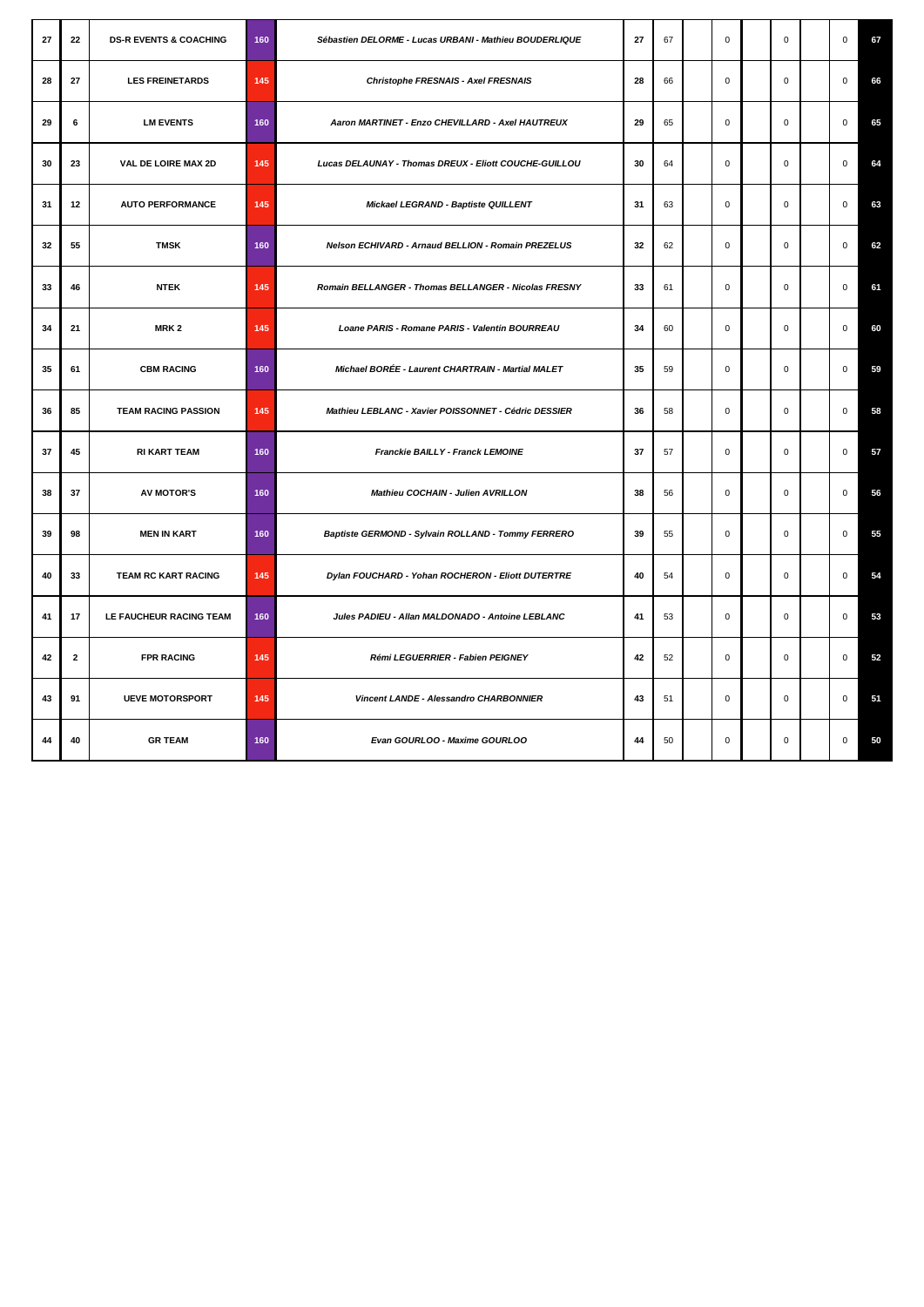| 27 | 22           | <b>DS-R EVENTS &amp; COACHING</b> | 160 | Sébastien DELORME - Lucas URBANI - Mathieu BOUDERLIQUE | 27 | 67 | $\mathbf 0$ | $\Omega$    | $\Omega$    | 67 |
|----|--------------|-----------------------------------|-----|--------------------------------------------------------|----|----|-------------|-------------|-------------|----|
| 28 | 27           | <b>LES FREINETARDS</b>            | 145 | Christophe FRESNAIS - Axel FRESNAIS                    | 28 | 66 | $\mathsf 0$ | 0           | $\mathsf 0$ | 66 |
| 29 | 6            | <b>LM EVENTS</b>                  | 160 | Aaron MARTINET - Enzo CHEVILLARD - Axel HAUTREUX       | 29 | 65 | $\mathsf 0$ | 0           | $\mathsf 0$ | 65 |
| 30 | 23           | VAL DE LOIRE MAX 2D               | 145 | Lucas DELAUNAY - Thomas DREUX - Eliott COUCHE-GUILLOU  | 30 | 64 | $\mathsf 0$ | 0           | $\mathsf 0$ | 64 |
| 31 | 12           | <b>AUTO PERFORMANCE</b>           | 145 | Mickael LEGRAND - Baptiste QUILLENT                    | 31 | 63 | $\mathsf 0$ | 0           | $\mathsf 0$ | 63 |
| 32 | 55           | <b>TMSK</b>                       | 160 | Nelson ECHIVARD - Arnaud BELLION - Romain PREZELUS     | 32 | 62 | $\mathbf 0$ | $\mathbf 0$ | $\mathsf 0$ | 62 |
| 33 | 46           | <b>NTEK</b>                       | 145 | Romain BELLANGER - Thomas BELLANGER - Nicolas FRESNY   | 33 | 61 | $\mathbf 0$ | $\mathbf 0$ | $\mathsf 0$ | 61 |
| 34 | 21           | MRK <sub>2</sub>                  | 145 | Loane PARIS - Romane PARIS - Valentin BOURREAU         | 34 | 60 | $\mathbf 0$ | $\mathbf 0$ | $\mathbf 0$ | 60 |
| 35 | 61           | <b>CBM RACING</b>                 | 160 | Michael BORÉE - Laurent CHARTRAIN - Martial MALET      | 35 | 59 | $\mathbf 0$ | $\mathbf 0$ | $\mathsf 0$ | 59 |
| 36 | 85           | <b>TEAM RACING PASSION</b>        | 145 | Mathieu LEBLANC - Xavier POISSONNET - Cédric DESSIER   | 36 | 58 | $\mathbf 0$ | $\mathbf 0$ | $\mathbf 0$ | 58 |
| 37 | 45           | <b>RI KART TEAM</b>               | 160 | Franckie BAILLY - Franck LEMOINE                       | 37 | 57 | $\mathbf 0$ | $\mathbf 0$ | $\mathsf 0$ | 57 |
| 38 | 37           | <b>AV MOTOR'S</b>                 | 160 | Mathieu COCHAIN - Julien AVRILLON                      | 38 | 56 | $\mathbf 0$ | $\mathbf 0$ | $\mathbf 0$ | 56 |
| 39 | 98           | <b>MEN IN KART</b>                | 160 | Baptiste GERMOND - Sylvain ROLLAND - Tommy FERRERO     | 39 | 55 | $\mathsf 0$ | $\Omega$    | $\mathbf 0$ | 55 |
| 40 | 33           | TEAM RC KART RACING               | 145 | Dylan FOUCHARD - Yohan ROCHERON - Eliott DUTERTRE      | 40 | 54 | $\mathbf 0$ | 0           | $\mathbf 0$ | 54 |
| 41 | 17           | LE FAUCHEUR RACING TEAM           | 160 | Jules PADIEU - Allan MALDONADO - Antoine LEBLANC       | 41 | 53 | $\mathsf 0$ | $\mathbf 0$ | $\mathsf 0$ | 53 |
| 42 | $\mathbf{2}$ | <b>FPR RACING</b>                 | 145 | Rémi LEGUERRIER - Fabien PEIGNEY                       | 42 | 52 | $\mathsf 0$ | $\mathbf 0$ | $\mathsf 0$ | 52 |
| 43 | 91           | <b>UEVE MOTORSPORT</b>            | 145 | Vincent LANDE - Alessandro CHARBONNIER                 | 43 | 51 | $\mathsf 0$ | 0           | $\mathsf 0$ | 51 |
| 44 | 40           | <b>GR TEAM</b>                    | 160 | Evan GOURLOO - Maxime GOURLOO                          | 44 | 50 | $\mathbf 0$ | $\mathbf 0$ | $\mathbf 0$ | 50 |
|    |              |                                   |     |                                                        |    |    |             |             |             |    |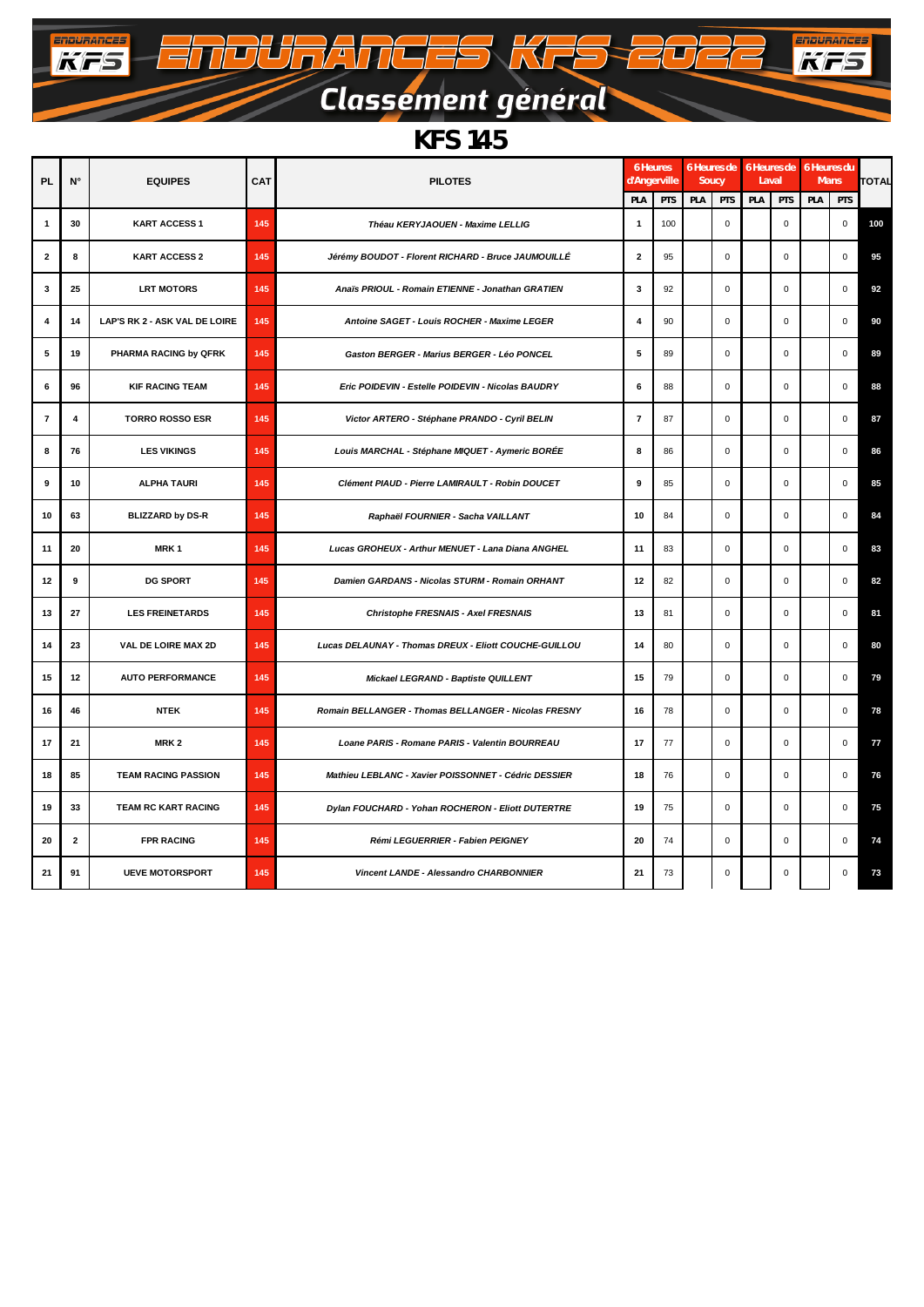## Classement général

 $\sqrt{}$ 

 $\mathbb{Z}$ 

 $\equiv$  $\overline{\phantom{0}}$ 

TOURANGES KR

**ENBURANCES** 

**ENDUANCES** 

 $-11$ 

#### *KFS 145*

| <b>PL</b>      | $N^{\circ}$    | <b>EQUIPES</b>                | CAT | <b>PILOTES</b>                                        | 6 Heures<br>d'Angerville |     | Soucy |             | 6 Heures de 6 Heures de 6 Heures du<br>Laval |             | Mans |             | <b>TOTAL</b> |
|----------------|----------------|-------------------------------|-----|-------------------------------------------------------|--------------------------|-----|-------|-------------|----------------------------------------------|-------------|------|-------------|--------------|
|                |                |                               |     | PLA                                                   | PTS                      | PLA | PTS   | PLA         | PTS                                          | PLA         | PTS  |             |              |
| $\mathbf{1}$   | 30             | <b>KART ACCESS 1</b>          | 145 | Théau KERYJAOUEN - Maxime LELLIG                      | $\mathbf{1}$             | 100 |       | $\mathbf 0$ |                                              | $\mathbf 0$ |      | $\mathbf 0$ | 100          |
| $\overline{2}$ | 8              | <b>KART ACCESS 2</b>          | 145 | Jérémy BOUDOT - Florent RICHARD - Bruce JAUMOUILLÉ    | $\overline{2}$           | 95  |       | $\mathbf 0$ |                                              | $\mathbf 0$ |      | $\mathbf 0$ | 95           |
| 3              | 25             | <b>LRT MOTORS</b>             | 145 | Anaïs PRIOUL - Romain ETIENNE - Jonathan GRATIEN      | 3                        | 92  |       | $\mathbf 0$ |                                              | $\mathbf 0$ |      | $\mathsf 0$ | 92           |
| 4              | 14             | LAP'S RK 2 - ASK VAL DE LOIRE | 145 | Antoine SAGET - Louis ROCHER - Maxime LEGER           | 4                        | 90  |       | $\mathbf 0$ |                                              | $\mathbf 0$ |      | $\mathbf 0$ | 90           |
| 5              | 19             | PHARMA RACING by QFRK         | 145 | Gaston BERGER - Marius BERGER - Léo PONCEL            | 5                        | 89  |       | $\pmb{0}$   |                                              | $\mathsf 0$ |      | $\mathbf 0$ | 89           |
| 6              | 96             | <b>KIF RACING TEAM</b>        | 145 | Eric POIDEVIN - Estelle POIDEVIN - Nicolas BAUDRY     | 6                        | 88  |       | $\mathbf 0$ |                                              | $\mathbf 0$ |      | $\mathbf 0$ | 88           |
| $\overline{7}$ | $\overline{4}$ | <b>TORRO ROSSO ESR</b>        | 145 | Victor ARTERO - Stéphane PRANDO - Cyril BELIN         | $\overline{7}$           | 87  |       | $\mathbf 0$ |                                              | $\mathbf 0$ |      | $\pmb{0}$   | 87           |
| 8              | 76             | <b>LES VIKINGS</b>            | 145 | Louis MARCHAL - Stéphane MIQUET - Aymeric BORÉE       | 8                        | 86  |       | $\pmb{0}$   |                                              | $\mathbf 0$ |      | $\mathbf 0$ | 86           |
| 9              | 10             | <b>ALPHA TAURI</b>            | 145 | Clément PIAUD - Pierre LAMIRAULT - Robin DOUCET       | 9                        | 85  |       | $\mathsf 0$ |                                              | $\mathbf 0$ |      | $\mathsf 0$ | 85           |
| 10             | 63             | <b>BLIZZARD by DS-R</b>       | 145 | Raphaël FOURNIER - Sacha VAILLANT                     | 10                       | 84  |       | $\mathbf 0$ |                                              | $\mathbf 0$ |      | $\mathbf 0$ | 84           |
| 11             | 20             | MRK <sub>1</sub>              | 145 | Lucas GROHEUX - Arthur MENUET - Lana Diana ANGHEL     | 11                       | 83  |       | $\mathbf 0$ |                                              | $\mathbf 0$ |      | $\mathbf 0$ | 83           |
| 12             | 9              | <b>DG SPORT</b>               | 145 | Damien GARDANS - Nicolas STURM - Romain ORHANT        | 12                       | 82  |       | $\mathbf 0$ |                                              | $\Omega$    |      | $\mathbf 0$ | 82           |
| 13             | 27             | <b>LES FREINETARDS</b>        | 145 | Christophe FRESNAIS - Axel FRESNAIS                   | 13                       | 81  |       | $\pmb{0}$   |                                              | $\mathbf 0$ |      | $\mathbf 0$ | 81           |
| 14             | 23             | VAL DE LOIRE MAX 2D           | 145 | Lucas DELAUNAY - Thomas DREUX - Eliott COUCHE-GUILLOU | 14                       | 80  |       | $\pmb{0}$   |                                              | $\mathsf 0$ |      | $\mathbf 0$ | 80           |
| 15             | 12             | <b>AUTO PERFORMANCE</b>       | 145 | Mickael LEGRAND - Baptiste QUILLENT                   | 15                       | 79  |       | $\mathbf 0$ |                                              | $\mathbf 0$ |      | $\mathbf 0$ | 79           |
| 16             | 46             | <b>NTEK</b>                   | 145 | Romain BELLANGER - Thomas BELLANGER - Nicolas FRESNY  | 16                       | 78  |       | $\mathbf 0$ |                                              | $\Omega$    |      | $\mathbf 0$ | 78           |
| 17             | 21             | MRK <sub>2</sub>              | 145 | Loane PARIS - Romane PARIS - Valentin BOURREAU        | 17                       | 77  |       | $\mathbf 0$ |                                              | $\mathbf 0$ |      | $\pmb{0}$   | 77           |
| 18             | 85             | <b>TEAM RACING PASSION</b>    | 145 | Mathieu LEBLANC - Xavier POISSONNET - Cédric DESSIER  | 18                       | 76  |       | $\pmb{0}$   |                                              | $\mathsf 0$ |      | $\mathbf 0$ | 76           |
| 19             | 33             | <b>TEAM RC KART RACING</b>    | 145 | Dylan FOUCHARD - Yohan ROCHERON - Eliott DUTERTRE     | 19                       | 75  |       | $\mathbf 0$ |                                              | $\Omega$    |      | $\mathbf 0$ | 75           |
| 20             | $\mathbf{2}$   | <b>FPR RACING</b>             | 145 | Rémi LEGUERRIER - Fabien PEIGNEY                      | 20                       | 74  |       | $\mathbf 0$ |                                              | $\mathbf 0$ |      | $\mathbf 0$ | 74           |
| 21             | 91             | <b>UEVE MOTORSPORT</b>        | 145 | Vincent LANDE - Alessandro CHARBONNIER                | 21                       | 73  |       | $\pmb{0}$   |                                              | $\mathbf 0$ |      | $\mathbf 0$ | 73           |
|                |                |                               |     |                                                       |                          |     |       |             |                                              |             |      |             |              |